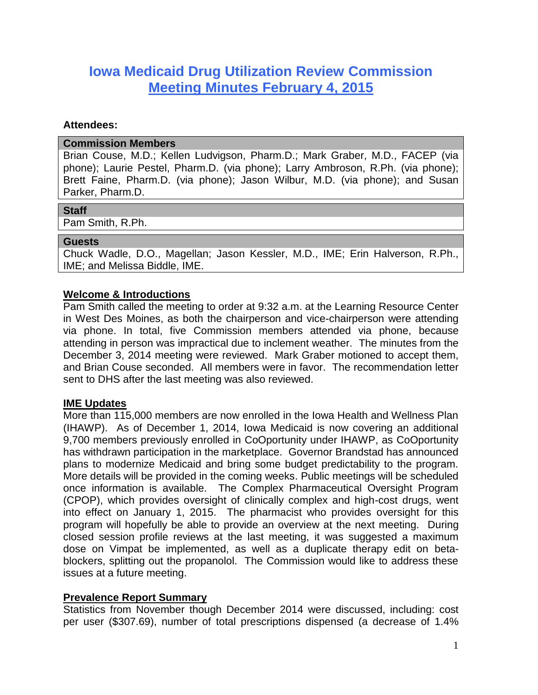# **Iowa Medicaid Drug Utilization Review Commission Meeting Minutes February 4, 2015**

#### **Attendees:**

#### **Commission Members**

Brian Couse, M.D.; Kellen Ludvigson, Pharm.D.; Mark Graber, M.D., FACEP (via phone); Laurie Pestel, Pharm.D. (via phone); Larry Ambroson, R.Ph. (via phone); Brett Faine, Pharm.D. (via phone); Jason Wilbur, M.D. (via phone); and Susan Parker, Pharm.D.

#### **Staff**

Pam Smith, R.Ph.

#### **Guests**

Chuck Wadle, D.O., Magellan; Jason Kessler, M.D., IME; Erin Halverson, R.Ph., IME; and Melissa Biddle, IME.

## **Welcome & Introductions**

Pam Smith called the meeting to order at 9:32 a.m. at the Learning Resource Center in West Des Moines, as both the chairperson and vice-chairperson were attending via phone. In total, five Commission members attended via phone, because attending in person was impractical due to inclement weather. The minutes from the December 3, 2014 meeting were reviewed. Mark Graber motioned to accept them, and Brian Couse seconded. All members were in favor. The recommendation letter sent to DHS after the last meeting was also reviewed.

## **IME Updates**

More than 115,000 members are now enrolled in the Iowa Health and Wellness Plan (IHAWP). As of December 1, 2014, Iowa Medicaid is now covering an additional 9,700 members previously enrolled in CoOportunity under IHAWP, as CoOportunity has withdrawn participation in the marketplace. Governor Brandstad has announced plans to modernize Medicaid and bring some budget predictability to the program. More details will be provided in the coming weeks. Public meetings will be scheduled once information is available. The Complex Pharmaceutical Oversight Program (CPOP), which provides oversight of clinically complex and high-cost drugs, went into effect on January 1, 2015. The pharmacist who provides oversight for this program will hopefully be able to provide an overview at the next meeting. During closed session profile reviews at the last meeting, it was suggested a maximum dose on Vimpat be implemented, as well as a duplicate therapy edit on betablockers, splitting out the propanolol. The Commission would like to address these issues at a future meeting.

## **Prevalence Report Summary**

Statistics from November though December 2014 were discussed, including: cost per user (\$307.69), number of total prescriptions dispensed (a decrease of 1.4%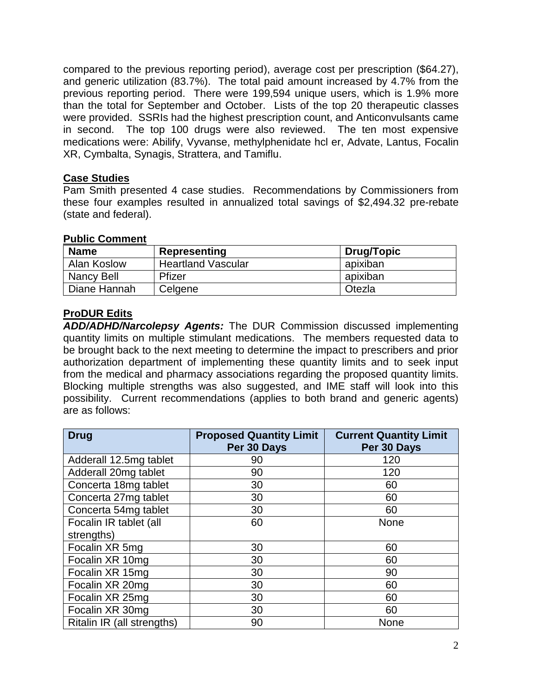compared to the previous reporting period), average cost per prescription (\$64.27), and generic utilization (83.7%). The total paid amount increased by 4.7% from the previous reporting period. There were 199,594 unique users, which is 1.9% more than the total for September and October. Lists of the top 20 therapeutic classes were provided. SSRIs had the highest prescription count, and Anticonvulsants came in second. The top 100 drugs were also reviewed. The ten most expensive medications were: Abilify, Vyvanse, methylphenidate hcl er, Advate, Lantus, Focalin XR, Cymbalta, Synagis, Strattera, and Tamiflu.

## **Case Studies**

Pam Smith presented 4 case studies. Recommendations by Commissioners from these four examples resulted in annualized total savings of \$2,494.32 pre-rebate (state and federal).

## **Public Comment**

| <b>Name</b>  | Representing              | <b>Drug/Topic</b> |
|--------------|---------------------------|-------------------|
| Alan Koslow  | <b>Heartland Vascular</b> | apixiban          |
| Nancy Bell   | Pfizer                    | apixiban          |
| Diane Hannah | Celgene                   | Otezla            |

## **ProDUR Edits**

*ADD/ADHD/Narcolepsy Agents:* The DUR Commission discussed implementing quantity limits on multiple stimulant medications. The members requested data to be brought back to the next meeting to determine the impact to prescribers and prior authorization department of implementing these quantity limits and to seek input from the medical and pharmacy associations regarding the proposed quantity limits. Blocking multiple strengths was also suggested, and IME staff will look into this possibility. Current recommendations (applies to both brand and generic agents) are as follows:

| <b>Drug</b>                | <b>Proposed Quantity Limit</b><br>Per 30 Days | <b>Current Quantity Limit</b><br>Per 30 Days |
|----------------------------|-----------------------------------------------|----------------------------------------------|
| Adderall 12.5mg tablet     | 90                                            | 120                                          |
| Adderall 20mg tablet       | 90                                            | 120                                          |
| Concerta 18mg tablet       | 30                                            | 60                                           |
| Concerta 27mg tablet       | 30                                            | 60                                           |
| Concerta 54mg tablet       | 30                                            | 60                                           |
| Focalin IR tablet (all     | 60                                            | <b>None</b>                                  |
| strengths)                 |                                               |                                              |
| Focalin XR 5mg             | 30                                            | 60                                           |
| Focalin XR 10mg            | 30                                            | 60                                           |
| Focalin XR 15mg            | 30                                            | 90                                           |
| Focalin XR 20mg            | 30                                            | 60                                           |
| Focalin XR 25mg            | 30                                            | 60                                           |
| Focalin XR 30mg            | 30                                            | 60                                           |
| Ritalin IR (all strengths) | 90                                            | <b>None</b>                                  |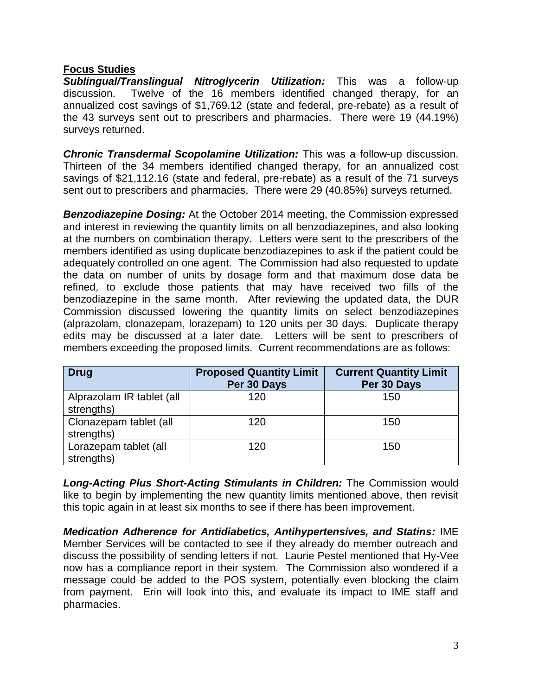## **Focus Studies**

*Sublingual/Translingual Nitroglycerin Utilization:* This was a follow-up discussion. Twelve of the 16 members identified changed therapy, for an annualized cost savings of \$1,769.12 (state and federal, pre-rebate) as a result of the 43 surveys sent out to prescribers and pharmacies. There were 19 (44.19%) surveys returned.

*Chronic Transdermal Scopolamine Utilization:* This was a follow-up discussion. Thirteen of the 34 members identified changed therapy, for an annualized cost savings of \$21,112.16 (state and federal, pre-rebate) as a result of the 71 surveys sent out to prescribers and pharmacies. There were 29 (40.85%) surveys returned.

*Benzodiazepine Dosing:* At the October 2014 meeting, the Commission expressed and interest in reviewing the quantity limits on all benzodiazepines, and also looking at the numbers on combination therapy. Letters were sent to the prescribers of the members identified as using duplicate benzodiazepines to ask if the patient could be adequately controlled on one agent. The Commission had also requested to update the data on number of units by dosage form and that maximum dose data be refined, to exclude those patients that may have received two fills of the benzodiazepine in the same month. After reviewing the updated data, the DUR Commission discussed lowering the quantity limits on select benzodiazepines (alprazolam, clonazepam, lorazepam) to 120 units per 30 days. Duplicate therapy edits may be discussed at a later date. Letters will be sent to prescribers of members exceeding the proposed limits. Current recommendations are as follows:

| <b>Drug</b>                             | <b>Proposed Quantity Limit</b><br>Per 30 Days | <b>Current Quantity Limit</b><br>Per 30 Days |
|-----------------------------------------|-----------------------------------------------|----------------------------------------------|
| Alprazolam IR tablet (all<br>strengths) | 120                                           | 150                                          |
| Clonazepam tablet (all<br>strengths)    | 120                                           | 150                                          |
| Lorazepam tablet (all<br>strengths)     | 120                                           | 150                                          |

*Long-Acting Plus Short-Acting Stimulants in Children:* The Commission would like to begin by implementing the new quantity limits mentioned above, then revisit this topic again in at least six months to see if there has been improvement.

*Medication Adherence for Antidiabetics, Antihypertensives, and Statins:* IME Member Services will be contacted to see if they already do member outreach and discuss the possibility of sending letters if not. Laurie Pestel mentioned that Hy-Vee now has a compliance report in their system. The Commission also wondered if a message could be added to the POS system, potentially even blocking the claim from payment. Erin will look into this, and evaluate its impact to IME staff and pharmacies.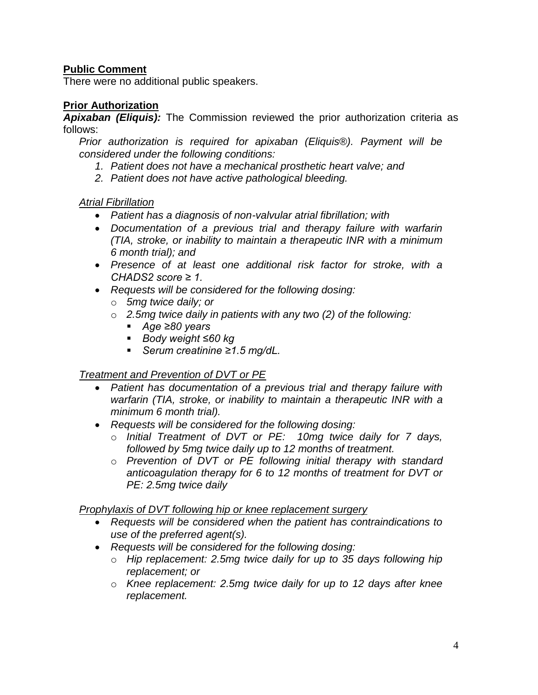## **Public Comment**

There were no additional public speakers.

## **Prior Authorization**

*Apixaban (Eliquis):* The Commission reviewed the prior authorization criteria as follows:

*Prior authorization is required for apixaban (Eliquis®). Payment will be considered under the following conditions:* 

- *1. Patient does not have a mechanical prosthetic heart valve; and*
- *2. Patient does not have active pathological bleeding.*

## *Atrial Fibrillation*

- *Patient has a diagnosis of non-valvular atrial fibrillation; with*
- *Documentation of a previous trial and therapy failure with warfarin (TIA, stroke, or inability to maintain a therapeutic INR with a minimum 6 month trial); and*
- *Presence of at least one additional risk factor for stroke, with a CHADS2 score ≥ 1.*
- *Requests will be considered for the following dosing:*
	- o *5mg twice daily; or*
	- o *2.5mg twice daily in patients with any two (2) of the following:*
		- *Age ≥80 years*
		- *Body weight ≤60 kg*
		- *Serum creatinine ≥1.5 mg/dL.*

## *Treatment and Prevention of DVT or PE*

- *Patient has documentation of a previous trial and therapy failure with warfarin (TIA, stroke, or inability to maintain a therapeutic INR with a minimum 6 month trial).*
- *Requests will be considered for the following dosing:*
	- o *Initial Treatment of DVT or PE: 10mg twice daily for 7 days, followed by 5mg twice daily up to 12 months of treatment.*
	- o *Prevention of DVT or PE following initial therapy with standard anticoagulation therapy for 6 to 12 months of treatment for DVT or PE: 2.5mg twice daily*

## *Prophylaxis of DVT following hip or knee replacement surgery*

- *Requests will be considered when the patient has contraindications to use of the preferred agent(s).*
- *Requests will be considered for the following dosing:*
	- o *Hip replacement: 2.5mg twice daily for up to 35 days following hip replacement; or*
	- o *Knee replacement: 2.5mg twice daily for up to 12 days after knee replacement.*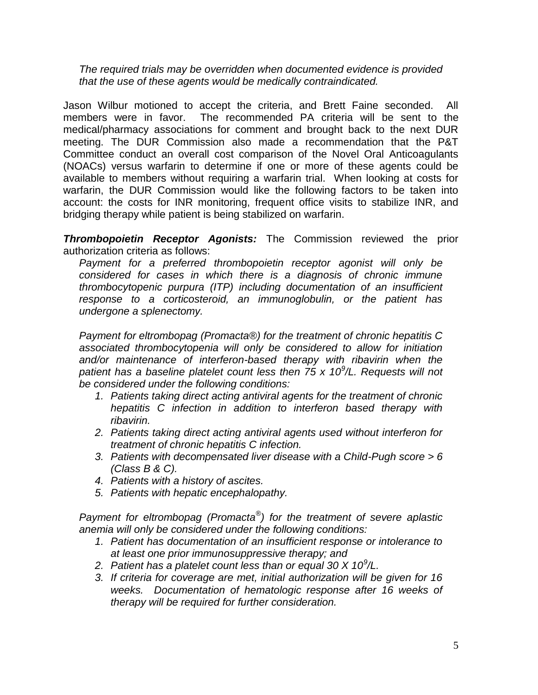*The required trials may be overridden when documented evidence is provided that the use of these agents would be medically contraindicated.*

Jason Wilbur motioned to accept the criteria, and Brett Faine seconded. All members were in favor. The recommended PA criteria will be sent to the medical/pharmacy associations for comment and brought back to the next DUR meeting. The DUR Commission also made a recommendation that the P&T Committee conduct an overall cost comparison of the Novel Oral Anticoagulants (NOACs) versus warfarin to determine if one or more of these agents could be available to members without requiring a warfarin trial. When looking at costs for warfarin, the DUR Commission would like the following factors to be taken into account: the costs for INR monitoring, frequent office visits to stabilize INR, and bridging therapy while patient is being stabilized on warfarin.

*Thrombopoietin Receptor Agonists:* The Commission reviewed the prior authorization criteria as follows:

*Payment for a preferred thrombopoietin receptor agonist will only be considered for cases in which there is a diagnosis of chronic immune thrombocytopenic purpura (ITP) including documentation of an insufficient response to a corticosteroid, an immunoglobulin, or the patient has undergone a splenectomy.*

*Payment for eltrombopag (Promacta®) for the treatment of chronic hepatitis C associated thrombocytopenia will only be considered to allow for initiation and/or maintenance of interferon-based therapy with ribavirin when the*  patient has a baseline platelet count less then 75 x 10<sup>9</sup>/L. Requests will not *be considered under the following conditions:*

- *1. Patients taking direct acting antiviral agents for the treatment of chronic hepatitis C infection in addition to interferon based therapy with ribavirin.*
- *2. Patients taking direct acting antiviral agents used without interferon for treatment of chronic hepatitis C infection.*
- *3. Patients with decompensated liver disease with a Child-Pugh score > 6 (Class B & C).*
- *4. Patients with a history of ascites.*
- *5. Patients with hepatic encephalopathy.*

*Payment for eltrombopag (Promacta® ) for the treatment of severe aplastic anemia will only be considered under the following conditions:*

- *1. Patient has documentation of an insufficient response or intolerance to at least one prior immunosuppressive therapy; and*
- *2. Patient has a platelet count less than or equal 30 X 10<sup>9</sup> /L.*
- *3. If criteria for coverage are met, initial authorization will be given for 16 weeks. Documentation of hematologic response after 16 weeks of therapy will be required for further consideration.*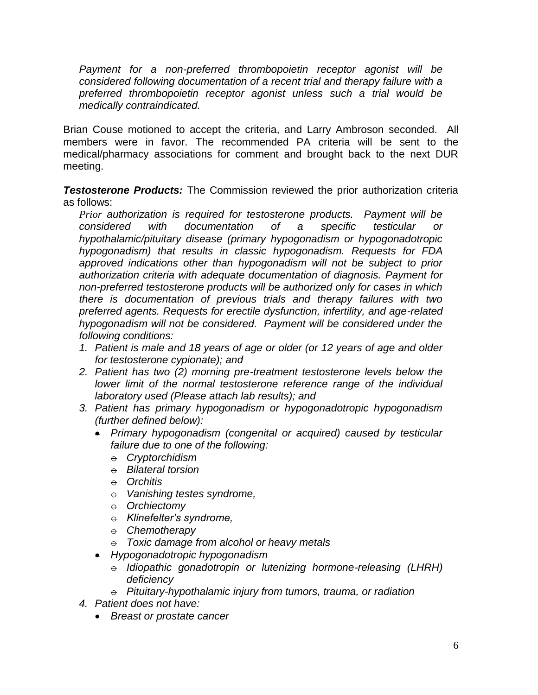*Payment for a non-preferred thrombopoietin receptor agonist will be considered following documentation of a recent trial and therapy failure with a preferred thrombopoietin receptor agonist unless such a trial would be medically contraindicated.*

Brian Couse motioned to accept the criteria, and Larry Ambroson seconded. All members were in favor. The recommended PA criteria will be sent to the medical/pharmacy associations for comment and brought back to the next DUR meeting.

*Testosterone Products:* The Commission reviewed the prior authorization criteria as follows:

*Prior authorization is required for testosterone products. Payment will be considered with documentation of a specific testicular or hypothalamic/pituitary disease (primary hypogonadism or hypogonadotropic hypogonadism) that results in classic hypogonadism. Requests for FDA approved indications other than hypogonadism will not be subject to prior authorization criteria with adequate documentation of diagnosis. Payment for non-preferred testosterone products will be authorized only for cases in which there is documentation of previous trials and therapy failures with two preferred agents. Requests for erectile dysfunction, infertility, and age-related hypogonadism will not be considered. Payment will be considered under the following conditions:*

- *1. Patient is male and 18 years of age or older (or 12 years of age and older for testosterone cypionate); and*
- *2. Patient has two (2) morning pre-treatment testosterone levels below the*  lower limit of the normal testosterone reference range of the individual *laboratory used (Please attach lab results); and*
- *3. Patient has primary hypogonadism or hypogonadotropic hypogonadism (further defined below):*
	- *Primary hypogonadism (congenital or acquired) caused by testicular failure due to one of the following:*
		- o *Cryptorchidism*
		- o *Bilateral torsion*
		- $\theta$  *Orchitis*
		- o *Vanishing testes syndrome,*
		- $\theta$  *Orchiectomy*
		- o *Klinefelter's syndrome,*
		- $\theta$  *Chemotherapy*
		- $\theta$  *Toxic damage from alcohol or heavy metals*
	- *Hypogonadotropic hypogonadism* 
		- $\overline{e}$  *Idiopathic gonadotropin or lutenizing hormone-releasing (LHRH) deficiency*
		- $\theta$  *Pituitary-hypothalamic injury from tumors, trauma, or radiation*
- *4. Patient does not have:*
	- *Breast or prostate cancer*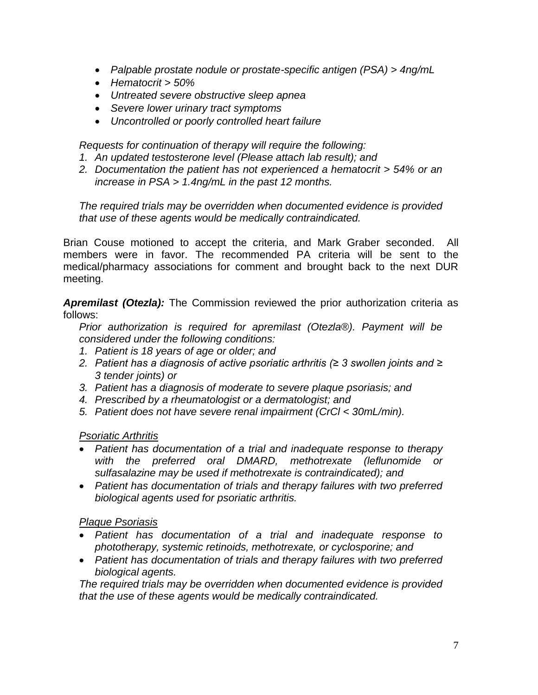- *Palpable prostate nodule or prostate-specific antigen (PSA) > 4ng/mL*
- *Hematocrit > 50%*
- *Untreated severe obstructive sleep apnea*
- *Severe lower urinary tract symptoms*
- *Uncontrolled or poorly controlled heart failure*

*Requests for continuation of therapy will require the following:*

- *1. An updated testosterone level (Please attach lab result); and*
- *2. Documentation the patient has not experienced a hematocrit > 54% or an increase in PSA > 1.4ng/mL in the past 12 months.*

*The required trials may be overridden when documented evidence is provided that use of these agents would be medically contraindicated.*

Brian Couse motioned to accept the criteria, and Mark Graber seconded. All members were in favor. The recommended PA criteria will be sent to the medical/pharmacy associations for comment and brought back to the next DUR meeting.

*Apremilast (Otezla):* The Commission reviewed the prior authorization criteria as follows:

*Prior authorization is required for apremilast (Otezla®). Payment will be considered under the following conditions:*

- *1. Patient is 18 years of age or older; and*
- *2. Patient has a diagnosis of active psoriatic arthritis (≥ 3 swollen joints and ≥ 3 tender joints) or*
- *3. Patient has a diagnosis of moderate to severe plaque psoriasis; and*
- *4. Prescribed by a rheumatologist or a dermatologist; and*
- *5. Patient does not have severe renal impairment (CrCl < 30mL/min).*

## *Psoriatic Arthritis*

- *Patient has documentation of a trial and inadequate response to therapy with the preferred oral DMARD, methotrexate (leflunomide or sulfasalazine may be used if methotrexate is contraindicated); and*
- *Patient has documentation of trials and therapy failures with two preferred biological agents used for psoriatic arthritis.*

## *Plaque Psoriasis*

- *Patient has documentation of a trial and inadequate response to phototherapy, systemic retinoids, methotrexate, or cyclosporine; and*
- *Patient has documentation of trials and therapy failures with two preferred biological agents.*

*The required trials may be overridden when documented evidence is provided that the use of these agents would be medically contraindicated.*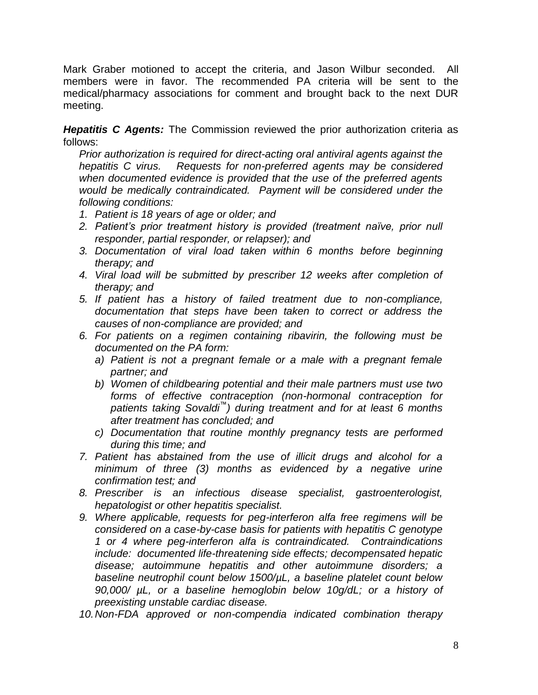Mark Graber motioned to accept the criteria, and Jason Wilbur seconded. All members were in favor. The recommended PA criteria will be sent to the medical/pharmacy associations for comment and brought back to the next DUR meeting.

*Hepatitis C Agents:* The Commission reviewed the prior authorization criteria as follows:

*Prior authorization is required for direct-acting oral antiviral agents against the hepatitis C virus. Requests for non-preferred agents may be considered when documented evidence is provided that the use of the preferred agents would be medically contraindicated. Payment will be considered under the following conditions:*

- *1. Patient is 18 years of age or older; and*
- *2. Patient's prior treatment history is provided (treatment naïve, prior null responder, partial responder, or relapser); and*
- *3. Documentation of viral load taken within 6 months before beginning therapy; and*
- *4. Viral load will be submitted by prescriber 12 weeks after completion of therapy; and*
- *5. If patient has a history of failed treatment due to non-compliance, documentation that steps have been taken to correct or address the causes of non-compliance are provided; and*
- *6. For patients on a regimen containing ribavirin, the following must be documented on the PA form:*
	- *a) Patient is not a pregnant female or a male with a pregnant female partner; and*
	- *b) Women of childbearing potential and their male partners must use two forms of effective contraception (non-hormonal contraception for patients taking Sovaldi™) during treatment and for at least 6 months after treatment has concluded; and*
	- *c) Documentation that routine monthly pregnancy tests are performed during this time; and*
- *7. Patient has abstained from the use of illicit drugs and alcohol for a minimum of three (3) months as evidenced by a negative urine confirmation test; and*
- *8. Prescriber is an infectious disease specialist, gastroenterologist, hepatologist or other hepatitis specialist.*
- *9. Where applicable, requests for peg-interferon alfa free regimens will be considered on a case-by-case basis for patients with hepatitis C genotype 1 or 4 where peg-interferon alfa is contraindicated. Contraindications include: documented life-threatening side effects; decompensated hepatic disease; autoimmune hepatitis and other autoimmune disorders; a baseline neutrophil count below 1500/µL, a baseline platelet count below 90,000/ µL, or a baseline hemoglobin below 10g/dL; or a history of preexisting unstable cardiac disease.*
- *10.Non-FDA approved or non-compendia indicated combination therapy*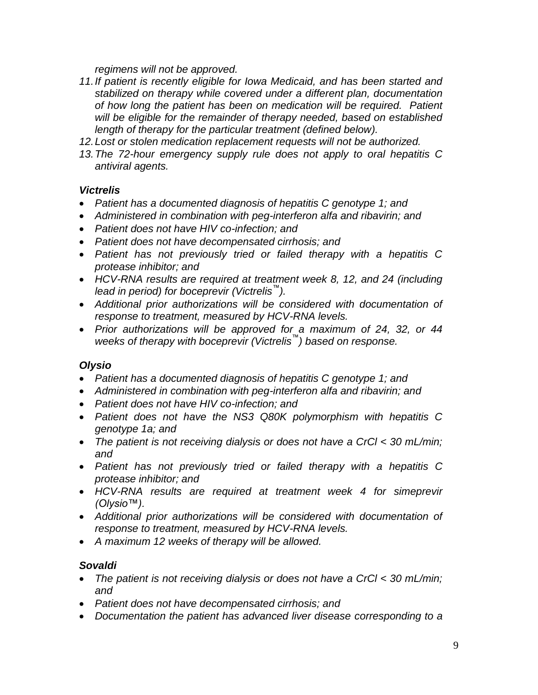*regimens will not be approved.*

- *11.If patient is recently eligible for Iowa Medicaid, and has been started and stabilized on therapy while covered under a different plan, documentation of how long the patient has been on medication will be required. Patient*  will be eligible for the remainder of therapy needed, based on established *length of therapy for the particular treatment (defined below).*
- *12.Lost or stolen medication replacement requests will not be authorized.*
- *13.The 72-hour emergency supply rule does not apply to oral hepatitis C antiviral agents.*

## *Victrelis*

- *Patient has a documented diagnosis of hepatitis C genotype 1; and*
- *Administered in combination with peg-interferon alfa and ribavirin; and*
- *Patient does not have HIV co-infection; and*
- *Patient does not have decompensated cirrhosis; and*
- *Patient has not previously tried or failed therapy with a hepatitis C protease inhibitor; and*
- *HCV-RNA results are required at treatment week 8, 12, and 24 (including lead in period) for boceprevir (Victrelis™).*
- *Additional prior authorizations will be considered with documentation of response to treatment, measured by HCV-RNA levels.*
- *Prior authorizations will be approved for a maximum of 24, 32, or 44 weeks of therapy with boceprevir (Victrelis™) based on response.*

## *Olysio*

- *Patient has a documented diagnosis of hepatitis C genotype 1; and*
- *Administered in combination with peg-interferon alfa and ribavirin; and*
- *Patient does not have HIV co-infection; and*
- *Patient does not have the NS3 Q80K polymorphism with hepatitis C genotype 1a; and*
- *The patient is not receiving dialysis or does not have a CrCl < 30 mL/min; and*
- *Patient has not previously tried or failed therapy with a hepatitis C protease inhibitor; and*
- *HCV-RNA results are required at treatment week 4 for simeprevir (Olysio™).*
- *Additional prior authorizations will be considered with documentation of response to treatment, measured by HCV-RNA levels.*
- *A maximum 12 weeks of therapy will be allowed.*

## *Sovaldi*

- *The patient is not receiving dialysis or does not have a CrCl < 30 mL/min; and*
- *Patient does not have decompensated cirrhosis; and*
- *Documentation the patient has advanced liver disease corresponding to a*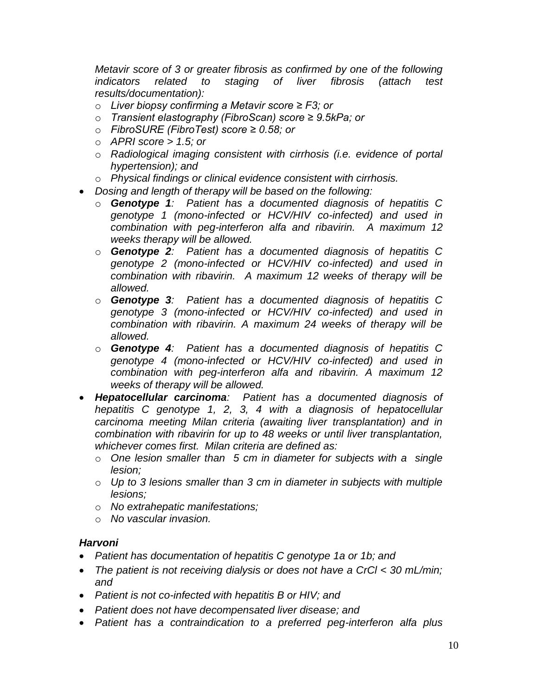*Metavir score of 3 or greater fibrosis as confirmed by one of the following indicators related to staging of liver fibrosis (attach test results/documentation):* 

- o *Liver biopsy confirming a Metavir score ≥ F3; or*
- o *Transient elastography (FibroScan) score ≥ 9.5kPa; or*
- o *FibroSURE (FibroTest) score ≥ 0.58; or*
- o *APRI score > 1.5; or*
- o *Radiological imaging consistent with cirrhosis (i.e. evidence of portal hypertension); and*
- o *Physical findings or clinical evidence consistent with cirrhosis.*
- *Dosing and length of therapy will be based on the following:*
	- o *Genotype 1: Patient has a documented diagnosis of hepatitis C genotype 1 (mono-infected or HCV/HIV co-infected) and used in combination with peg-interferon alfa and ribavirin. A maximum 12 weeks therapy will be allowed.*
	- o *Genotype 2: Patient has a documented diagnosis of hepatitis C genotype 2 (mono-infected or HCV/HIV co-infected) and used in combination with ribavirin. A maximum 12 weeks of therapy will be allowed.*
	- o *Genotype 3: Patient has a documented diagnosis of hepatitis C genotype 3 (mono-infected or HCV/HIV co-infected) and used in combination with ribavirin. A maximum 24 weeks of therapy will be allowed.*
	- o *Genotype 4: Patient has a documented diagnosis of hepatitis C genotype 4 (mono-infected or HCV/HIV co-infected) and used in combination with peg-interferon alfa and ribavirin. A maximum 12 weeks of therapy will be allowed.*
- *Hepatocellular carcinoma: Patient has a documented diagnosis of hepatitis C genotype 1, 2, 3, 4 with a diagnosis of hepatocellular carcinoma meeting Milan criteria (awaiting liver transplantation) and in combination with ribavirin for up to 48 weeks or until liver transplantation, whichever comes first. Milan criteria are defined as:*
	- o *One lesion smaller than 5 cm in diameter for subjects with a single lesion;*
	- o *Up to 3 lesions smaller than 3 cm in diameter in subjects with multiple lesions;*
	- o *No extrahepatic manifestations;*
	- o *No vascular invasion.*

## *Harvoni*

- *Patient has documentation of hepatitis C genotype 1a or 1b; and*
- *The patient is not receiving dialysis or does not have a CrCl < 30 mL/min; and*
- *Patient is not co-infected with hepatitis B or HIV; and*
- *Patient does not have decompensated liver disease; and*
- *Patient has a contraindication to a preferred peg-interferon alfa plus*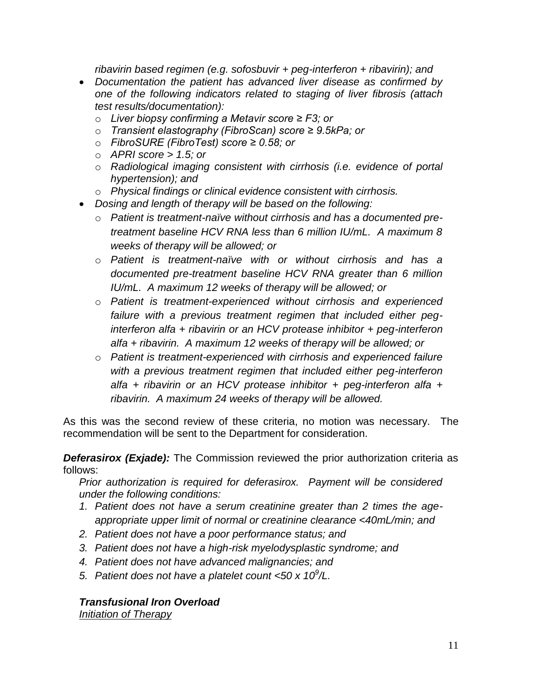*ribavirin based regimen (e.g. sofosbuvir + peg-interferon + ribavirin); and*

- *Documentation the patient has advanced liver disease as confirmed by one of the following indicators related to staging of liver fibrosis (attach test results/documentation):* 
	- o *Liver biopsy confirming a Metavir score ≥ F3; or*
	- o *Transient elastography (FibroScan) score ≥ 9.5kPa; or*
	- o *FibroSURE (FibroTest) score ≥ 0.58; or*
	- o *APRI score > 1.5; or*
	- o *Radiological imaging consistent with cirrhosis (i.e. evidence of portal hypertension); and*
	- o *Physical findings or clinical evidence consistent with cirrhosis.*
- *Dosing and length of therapy will be based on the following:*
	- o *Patient is treatment-naïve without cirrhosis and has a documented pretreatment baseline HCV RNA less than 6 million IU/mL. A maximum 8 weeks of therapy will be allowed; or*
	- o *Patient is treatment-naïve with or without cirrhosis and has a documented pre-treatment baseline HCV RNA greater than 6 million IU/mL. A maximum 12 weeks of therapy will be allowed; or*
	- o *Patient is treatment-experienced without cirrhosis and experienced failure with a previous treatment regimen that included either peginterferon alfa + ribavirin or an HCV protease inhibitor + peg-interferon alfa + ribavirin. A maximum 12 weeks of therapy will be allowed; or*
	- o *Patient is treatment-experienced with cirrhosis and experienced failure with a previous treatment regimen that included either peg-interferon alfa + ribavirin or an HCV protease inhibitor + peg-interferon alfa + ribavirin. A maximum 24 weeks of therapy will be allowed.*

As this was the second review of these criteria, no motion was necessary. The recommendation will be sent to the Department for consideration.

**Deferasirox (Exjade):** The Commission reviewed the prior authorization criteria as follows:

*Prior authorization is required for deferasirox. Payment will be considered under the following conditions:*

- *1. Patient does not have a serum creatinine greater than 2 times the ageappropriate upper limit of normal or creatinine clearance <40mL/min; and*
- *2. Patient does not have a poor performance status; and*
- *3. Patient does not have a high-risk myelodysplastic syndrome; and*
- *4. Patient does not have advanced malignancies; and*
- *5. Patient does not have a platelet count <50 x 10<sup>9</sup> /L.*

## *Transfusional Iron Overload*

*Initiation of Therapy*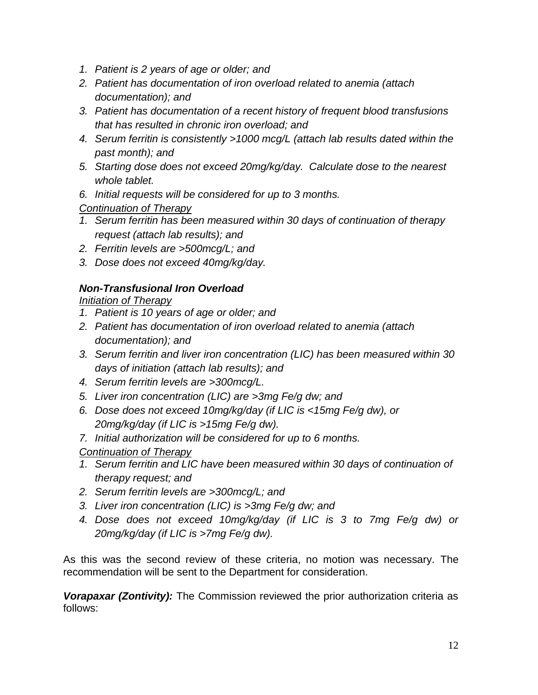- *1. Patient is 2 years of age or older; and*
- *2. Patient has documentation of iron overload related to anemia (attach documentation); and*
- *3. Patient has documentation of a recent history of frequent blood transfusions that has resulted in chronic iron overload; and*
- *4. Serum ferritin is consistently >1000 mcg/L (attach lab results dated within the past month); and*
- *5. Starting dose does not exceed 20mg/kg/day. Calculate dose to the nearest whole tablet.*
- *6. Initial requests will be considered for up to 3 months.*

*Continuation of Therapy*

- *1. Serum ferritin has been measured within 30 days of continuation of therapy request (attach lab results); and*
- *2. Ferritin levels are >500mcg/L; and*
- *3. Dose does not exceed 40mg/kg/day.*

## *Non-Transfusional Iron Overload*

*Initiation of Therapy*

- *1. Patient is 10 years of age or older; and*
- *2. Patient has documentation of iron overload related to anemia (attach documentation); and*
- *3. Serum ferritin and liver iron concentration (LIC) has been measured within 30 days of initiation (attach lab results); and*
- *4. Serum ferritin levels are >300mcg/L.*
- *5. Liver iron concentration (LIC) are >3mg Fe/g dw; and*
- *6. Dose does not exceed 10mg/kg/day (if LIC is <15mg Fe/g dw), or 20mg/kg/day (if LIC is >15mg Fe/g dw).*
- *7. Initial authorization will be considered for up to 6 months.*
- *Continuation of Therapy*
- *1. Serum ferritin and LIC have been measured within 30 days of continuation of therapy request; and*
- *2. Serum ferritin levels are >300mcg/L; and*
- *3. Liver iron concentration (LIC) is >3mg Fe/g dw; and*
- *4. Dose does not exceed 10mg/kg/day (if LIC is 3 to 7mg Fe/g dw) or 20mg/kg/day (if LIC is >7mg Fe/g dw).*

As this was the second review of these criteria, no motion was necessary. The recommendation will be sent to the Department for consideration.

*Vorapaxar (Zontivity):* The Commission reviewed the prior authorization criteria as follows: